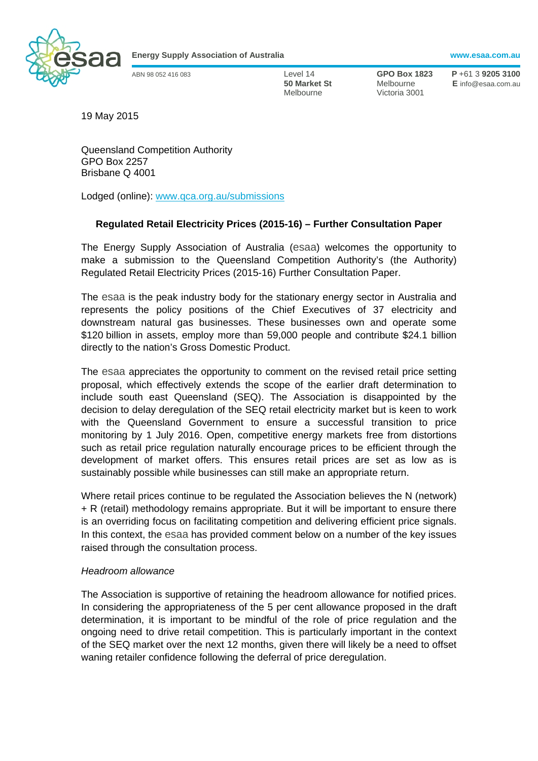

**Energy Supply Association of Australia www.esaa.com.au** 

Melbourne Victoria 3001

ABN 98 052 416 083 Level 14 **GPO Box 1823 P** +61 3 **9205 3100 50 Market St** Melbourne **E** info@esaa.com.au

19 May 2015

Queensland Competition Authority GPO Box 2257 Brisbane Q 4001

Lodged (online): www.qca.org.au/submissions

# **Regulated Retail Electricity Prices (2015-16) – Further Consultation Paper**

The Energy Supply Association of Australia (esaa) welcomes the opportunity to make a submission to the Queensland Competition Authority's (the Authority) Regulated Retail Electricity Prices (2015-16) Further Consultation Paper.

The esaa is the peak industry body for the stationary energy sector in Australia and represents the policy positions of the Chief Executives of 37 electricity and downstream natural gas businesses. These businesses own and operate some \$120 billion in assets, employ more than 59,000 people and contribute \$24.1 billion directly to the nation's Gross Domestic Product.

The esaa appreciates the opportunity to comment on the revised retail price setting proposal, which effectively extends the scope of the earlier draft determination to include south east Queensland (SEQ). The Association is disappointed by the decision to delay deregulation of the SEQ retail electricity market but is keen to work with the Queensland Government to ensure a successful transition to price monitoring by 1 July 2016. Open, competitive energy markets free from distortions such as retail price regulation naturally encourage prices to be efficient through the development of market offers. This ensures retail prices are set as low as is sustainably possible while businesses can still make an appropriate return.

Where retail prices continue to be regulated the Association believes the N (network) + R (retail) methodology remains appropriate. But it will be important to ensure there is an overriding focus on facilitating competition and delivering efficient price signals. In this context, the esaa has provided comment below on a number of the key issues raised through the consultation process.

#### *Headroom allowance*

The Association is supportive of retaining the headroom allowance for notified prices. In considering the appropriateness of the 5 per cent allowance proposed in the draft determination, it is important to be mindful of the role of price regulation and the ongoing need to drive retail competition. This is particularly important in the context of the SEQ market over the next 12 months, given there will likely be a need to offset waning retailer confidence following the deferral of price deregulation.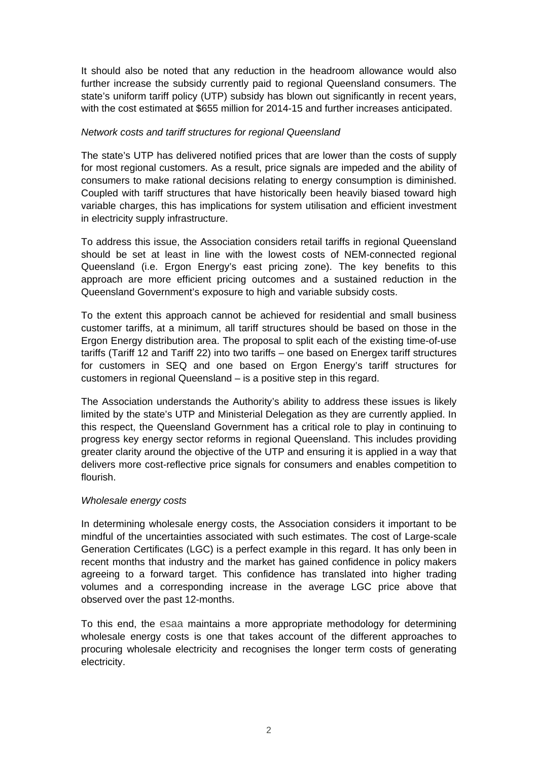It should also be noted that any reduction in the headroom allowance would also further increase the subsidy currently paid to regional Queensland consumers. The state's uniform tariff policy (UTP) subsidy has blown out significantly in recent years, with the cost estimated at \$655 million for 2014-15 and further increases anticipated.

### *Network costs and tariff structures for regional Queensland*

The state's UTP has delivered notified prices that are lower than the costs of supply for most regional customers. As a result, price signals are impeded and the ability of consumers to make rational decisions relating to energy consumption is diminished. Coupled with tariff structures that have historically been heavily biased toward high variable charges, this has implications for system utilisation and efficient investment in electricity supply infrastructure.

To address this issue, the Association considers retail tariffs in regional Queensland should be set at least in line with the lowest costs of NEM-connected regional Queensland (i.e. Ergon Energy's east pricing zone). The key benefits to this approach are more efficient pricing outcomes and a sustained reduction in the Queensland Government's exposure to high and variable subsidy costs.

To the extent this approach cannot be achieved for residential and small business customer tariffs, at a minimum, all tariff structures should be based on those in the Ergon Energy distribution area. The proposal to split each of the existing time-of-use tariffs (Tariff 12 and Tariff 22) into two tariffs – one based on Energex tariff structures for customers in SEQ and one based on Ergon Energy's tariff structures for customers in regional Queensland – is a positive step in this regard.

The Association understands the Authority's ability to address these issues is likely limited by the state's UTP and Ministerial Delegation as they are currently applied. In this respect, the Queensland Government has a critical role to play in continuing to progress key energy sector reforms in regional Queensland. This includes providing greater clarity around the objective of the UTP and ensuring it is applied in a way that delivers more cost-reflective price signals for consumers and enables competition to flourish.

#### *Wholesale energy costs*

In determining wholesale energy costs, the Association considers it important to be mindful of the uncertainties associated with such estimates. The cost of Large-scale Generation Certificates (LGC) is a perfect example in this regard. It has only been in recent months that industry and the market has gained confidence in policy makers agreeing to a forward target. This confidence has translated into higher trading volumes and a corresponding increase in the average LGC price above that observed over the past 12-months.

To this end, the esaa maintains a more appropriate methodology for determining wholesale energy costs is one that takes account of the different approaches to procuring wholesale electricity and recognises the longer term costs of generating electricity.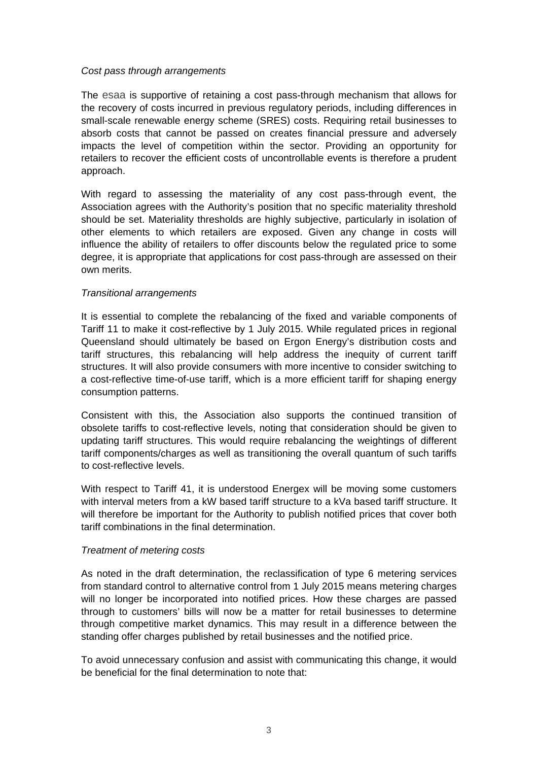### *Cost pass through arrangements*

The esaa is supportive of retaining a cost pass-through mechanism that allows for the recovery of costs incurred in previous regulatory periods, including differences in small-scale renewable energy scheme (SRES) costs. Requiring retail businesses to absorb costs that cannot be passed on creates financial pressure and adversely impacts the level of competition within the sector. Providing an opportunity for retailers to recover the efficient costs of uncontrollable events is therefore a prudent approach.

With regard to assessing the materiality of any cost pass-through event, the Association agrees with the Authority's position that no specific materiality threshold should be set. Materiality thresholds are highly subjective, particularly in isolation of other elements to which retailers are exposed. Given any change in costs will influence the ability of retailers to offer discounts below the regulated price to some degree, it is appropriate that applications for cost pass-through are assessed on their own merits.

## *Transitional arrangements*

It is essential to complete the rebalancing of the fixed and variable components of Tariff 11 to make it cost-reflective by 1 July 2015. While regulated prices in regional Queensland should ultimately be based on Ergon Energy's distribution costs and tariff structures, this rebalancing will help address the inequity of current tariff structures. It will also provide consumers with more incentive to consider switching to a cost-reflective time-of-use tariff, which is a more efficient tariff for shaping energy consumption patterns.

Consistent with this, the Association also supports the continued transition of obsolete tariffs to cost-reflective levels, noting that consideration should be given to updating tariff structures. This would require rebalancing the weightings of different tariff components/charges as well as transitioning the overall quantum of such tariffs to cost-reflective levels.

With respect to Tariff 41, it is understood Energex will be moving some customers with interval meters from a kW based tariff structure to a kVa based tariff structure. It will therefore be important for the Authority to publish notified prices that cover both tariff combinations in the final determination.

## *Treatment of metering costs*

As noted in the draft determination, the reclassification of type 6 metering services from standard control to alternative control from 1 July 2015 means metering charges will no longer be incorporated into notified prices. How these charges are passed through to customers' bills will now be a matter for retail businesses to determine through competitive market dynamics. This may result in a difference between the standing offer charges published by retail businesses and the notified price.

To avoid unnecessary confusion and assist with communicating this change, it would be beneficial for the final determination to note that: